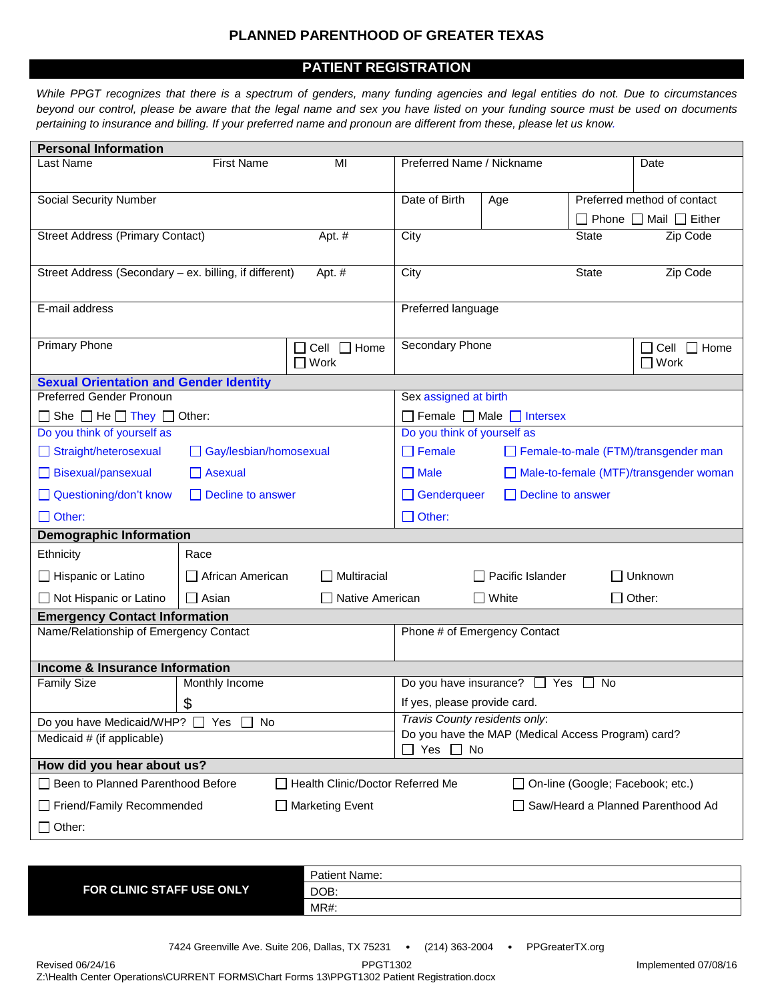## **PLANNED PARENTHOOD OF GREATER TEXAS**

## **PATIENT REGISTRATION**

*While PPGT recognizes that there is a spectrum of genders, many funding agencies and legal entities do not. Due to circumstances beyond our control, please be aware that the legal name and sex you have listed on your funding source must be used on documents pertaining to insurance and billing. If your preferred name and pronoun are different from these, please let us know.*

| <b>Personal Information</b>                                                  |                                                 |                                 |                                                                            |                                                       |              |                                        |
|------------------------------------------------------------------------------|-------------------------------------------------|---------------------------------|----------------------------------------------------------------------------|-------------------------------------------------------|--------------|----------------------------------------|
| <b>First Name</b><br>Last Name<br>MI                                         |                                                 | Preferred Name / Nickname       |                                                                            |                                                       | Date         |                                        |
| Social Security Number                                                       |                                                 |                                 | Date of Birth                                                              | Age                                                   |              | Preferred method of contact            |
|                                                                              |                                                 |                                 |                                                                            |                                                       |              | $\Box$ Phone $\Box$ Mail $\Box$ Either |
| <b>Street Address (Primary Contact)</b><br>Apt. #                            |                                                 |                                 | City                                                                       |                                                       | <b>State</b> | Zip Code                               |
| Street Address (Secondary – ex. billing, if different)<br>Apt. #             |                                                 |                                 | City                                                                       |                                                       | State        | Zip Code                               |
| E-mail address                                                               |                                                 |                                 | Preferred language                                                         |                                                       |              |                                        |
| <b>Primary Phone</b>                                                         |                                                 | Cell $\Box$ Home<br>$\Box$ Work | Secondary Phone                                                            |                                                       |              | $\Box$ Cell $\Box$ Home<br>$\Box$ Work |
| <b>Sexual Orientation and Gender Identity</b>                                |                                                 |                                 |                                                                            |                                                       |              |                                        |
| <b>Preferred Gender Pronoun</b>                                              |                                                 |                                 | Sex assigned at birth                                                      |                                                       |              |                                        |
| $\Box$ She $\Box$ He $\Box$ They $\Box$ Other:                               |                                                 |                                 | $\Box$ Female $\Box$ Male $\Box$ Intersex                                  |                                                       |              |                                        |
| Do you think of yourself as                                                  |                                                 |                                 | Do you think of yourself as                                                |                                                       |              |                                        |
|                                                                              | Straight/heterosexual<br>Gay/lesbian/homosexual |                                 |                                                                            | $\Box$ Female<br>Female-to-male (FTM)/transgender man |              |                                        |
| Bisexual/pansexual<br>$\Box$ Asexual                                         |                                                 |                                 | $\Box$ Male<br>Male-to-female (MTF)/transgender woman                      |                                                       |              |                                        |
| Questioning/don't know<br>$\Box$ Decline to answer                           |                                                 |                                 | Genderqueer<br>$\Box$ Decline to answer                                    |                                                       |              |                                        |
| $\Box$ Other:                                                                |                                                 |                                 | $\Box$ Other:                                                              |                                                       |              |                                        |
| <b>Demographic Information</b>                                               |                                                 |                                 |                                                                            |                                                       |              |                                        |
| Ethnicity                                                                    | Race                                            |                                 |                                                                            |                                                       |              |                                        |
| Hispanic or Latino                                                           | African American                                | $\Box$ Multiracial              |                                                                            | $\Box$ Pacific Islander                               |              | $\Box$ Unknown                         |
| □ Not Hispanic or Latino                                                     | $\Box$ Asian                                    | □ Native American               |                                                                            | $\Box$ White                                          |              | $\Box$ Other:                          |
| <b>Emergency Contact Information</b>                                         |                                                 |                                 |                                                                            |                                                       |              |                                        |
| Name/Relationship of Emergency Contact                                       |                                                 |                                 | Phone # of Emergency Contact                                               |                                                       |              |                                        |
| Income & Insurance Information                                               |                                                 |                                 |                                                                            |                                                       |              |                                        |
| <b>Family Size</b>                                                           | Monthly Income                                  |                                 | Do you have insurance? $\Box$ Yes<br>No.                                   |                                                       |              |                                        |
| $\boldsymbol{\mathsf{S}}$                                                    |                                                 |                                 | If yes, please provide card.                                               |                                                       |              |                                        |
| Do you have Medicaid/WHP? □ Yes<br>No.                                       |                                                 |                                 | Travis County residents only:                                              |                                                       |              |                                        |
| Medicaid # (if applicable)                                                   |                                                 |                                 | Do you have the MAP (Medical Access Program) card?<br>$\Box$ Yes $\Box$ No |                                                       |              |                                        |
| How did you hear about us?                                                   |                                                 |                                 |                                                                            |                                                       |              |                                        |
| Been to Planned Parenthood Before<br><b>Health Clinic/Doctor Referred Me</b> |                                                 |                                 | □ On-line (Google; Facebook; etc.)                                         |                                                       |              |                                        |
| Friend/Family Recommended<br>$\Box$ Marketing Event                          |                                                 |                                 |                                                                            |                                                       |              | Saw/Heard a Planned Parenthood Ad      |
| $\Box$ Other:                                                                |                                                 |                                 |                                                                            |                                                       |              |                                        |
|                                                                              |                                                 |                                 |                                                                            |                                                       |              |                                        |

|                                  | Patient Name: |
|----------------------------------|---------------|
| <b>FOR CLINIC STAFF USE ONLY</b> | DOB:          |
|                                  | MR#.          |

Revised 06/24/16 PPGT1302 Implemented 07/08/16 Z:\Health Center Operations\CURRENT FORMS\Chart Forms 13\PPGT1302 Patient Registration.docx